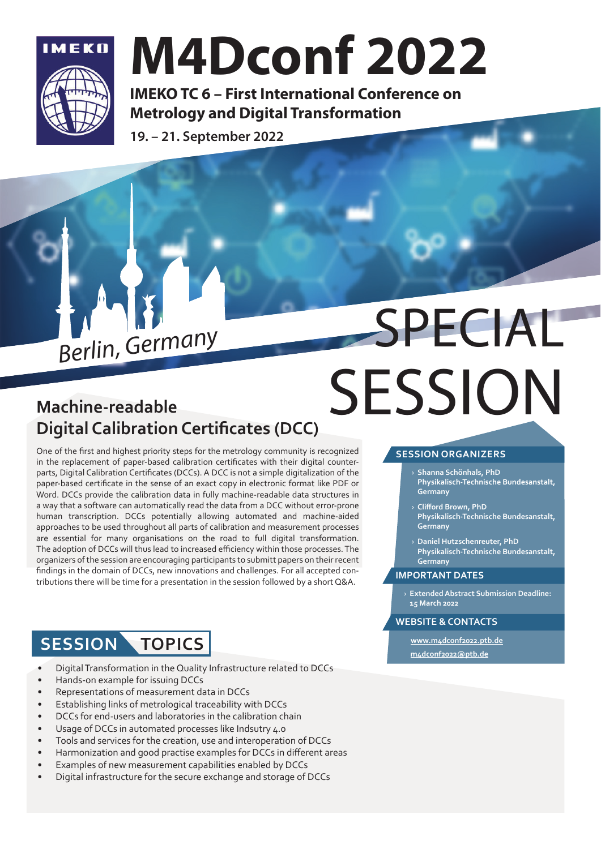

## M4Dconf 2022

IMEKO TC 6 – First International Conference on Metrology and Digital Transformation

19. – 21. September 2022

# Berlin, Germany SPECIAL **SESSION**

### **Machine-readable Digital Calibration Certificates (DCC)**

One of the first and highest priority steps for the metrology community is recognized in the replacement of paper-based calibration certificates with their digital counterparts, Digital Calibration Certificates (DCCs). A DCC is not a simple digitalization of the paper-based certificate in the sense of an exact copy in electronic format like PDF or Word. DCCs provide the calibration data in fully machine-readable data structures in a way that a software can automatically read the data from a DCC without error-prone human transcription. DCCs potentially allowing automated and machine-aided approaches to be used throughout all parts of calibration and measurement processes are essential for many organisations on the road to full digital transformation. The adoption of DCCs will thus lead to increased efficiency within those processes. The organizers of the session are encouraging participants to submitt papers on their recent findings in the domain of DCCs, new innovations and challenges. For all accepted contributions there will be time for a presentation in the session followed by a short Q&A.

### **SESSION TOPICS**

- Digital Transformation in the Quality Infrastructure related to DCCs
- Hands-on example for issuing DCCs
- Representations of measurement data in DCCs
- Establishing links of metrological traceability with DCCs
- DCCs for end-users and laboratories in the calibration chain
- Usage of DCCs in automated processes like Indsutry 4.0
- Tools and services for the creation, use and interoperation of DCCs
- Harmonization and good practise examples for DCCs in different areas
- Examples of new measurement capabilities enabled by DCCs
- Digital infrastructure for the secure exchange and storage of DCCs

### **SESSION ORGANIZERS**

- › **Shanna Schönhals, PhD Physikalisch-Technische Bundesanstalt, Germany**
- › **Cliff ord Brown, PhD Physikalisch-Technische Bundesanstalt, Germany**
- › **Daniel Hutzschenreuter, PhD Physikalisch-Technische Bundesanstalt, Germany**

#### **IMPORTANT DATES**

› **Extended Abstract Submission Deadline: 15 March 2022**

#### **WEBSITE & CONTACTS**

**www.m4dconf2022.ptb.de m4dconf2022@ptb.de**